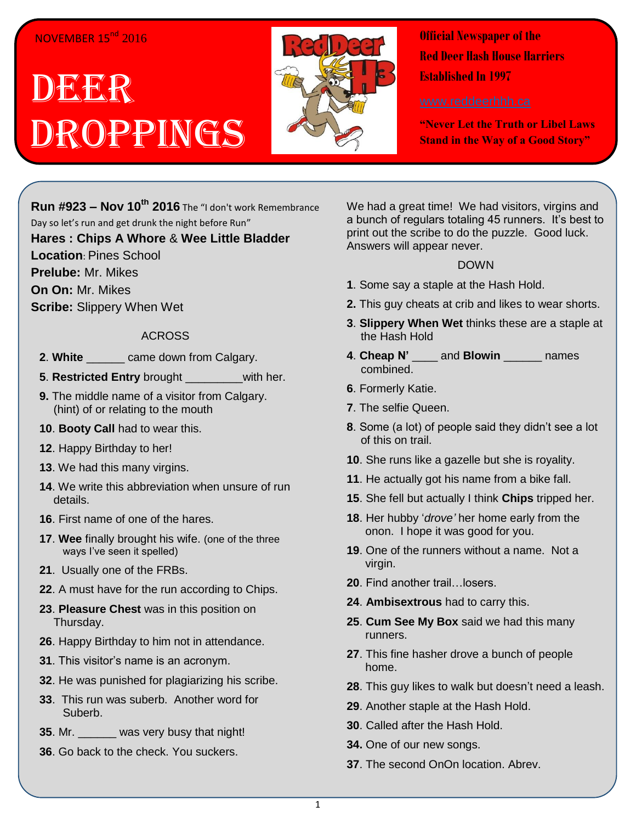# NOVEMBER 15<sup>nd</sup> 2016

# DEGER Droppings



**Official Newspaper of the Red Deer Hash House Harriers Established In 1997** 

**"Never Let the Truth or Libel Laws Stand in the Way of a Good Story"**

**Run #923 – Nov 10th 2016** The "I don't work Remembrance Day so let's run and get drunk the night before Run"

**Hares : Chips A Whore** & **Wee Little Bladder Location**: Pines School **Prelube:** Mr. Mikes **On On:** Mr. Mikes

**Scribe:** Slippery When Wet

### ACROSS

- **2**. **White** \_\_\_\_\_\_ came down from Calgary.
- **5**. **Restricted Entry** brought \_\_\_\_\_\_\_\_\_with her.
- **9.** The middle name of a visitor from Calgary. (hint) of or relating to the mouth
- **10**. **Booty Call** had to wear this.
- **12**. Happy Birthday to her!
- **13**. We had this many virgins.
- **14**. We write this abbreviation when unsure of run details.
- **16**. First name of one of the hares.
- **17**. **Wee** finally brought his wife. (one of the three ways I've seen it spelled)
- **21**. Usually one of the FRBs.
- **22**. A must have for the run according to Chips.
- **23**. **Pleasure Chest** was in this position on Thursday.
- **26**. Happy Birthday to him not in attendance.
- **31**. This visitor's name is an acronym.
- **32**. He was punished for plagiarizing his scribe.
- **33**. This run was suberb. Another word for Suberb.
- **35**. Mr. \_\_\_\_\_\_ was very busy that night!
- **36**. Go back to the check. You suckers.

We had a great time! We had visitors, virgins and a bunch of regulars totaling 45 runners. It's best to print out the scribe to do the puzzle. Good luck. Answers will appear never.

## DOWN

- **1**. Some say a staple at the Hash Hold.
- **2.** This guy cheats at crib and likes to wear shorts.
- **3**. **Slippery When Wet** thinks these are a staple at the Hash Hold
- **4**. **Cheap N'** \_\_\_\_ and **Blowin** \_\_\_\_\_\_ names combined.
- **6**. Formerly Katie.
- **7**. The selfie Queen.
- **8**. Some (a lot) of people said they didn't see a lot of this on trail.
- **10**. She runs like a gazelle but she is royality.
- **11**. He actually got his name from a bike fall.
- **15**. She fell but actually I think **Chips** tripped her.
- **18**. Her hubby '*drove'* her home early from the onon. I hope it was good for you.
- **19**. One of the runners without a name. Not a virgin.
- **20**. Find another trail…losers.
- **24**. **Ambisextrous** had to carry this.
- **25**. **Cum See My Box** said we had this many runners.
- **27**. This fine hasher drove a bunch of people home.
- **28**. This guy likes to walk but doesn't need a leash.
- **29**. Another staple at the Hash Hold.
- **30**. Called after the Hash Hold.
- **34.** One of our new songs.
- **37**. The second OnOn location. Abrev.